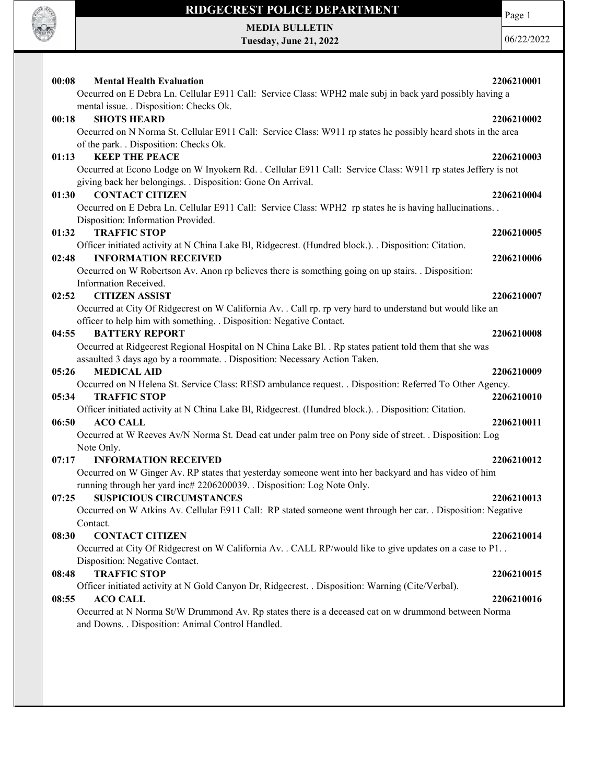

Page 1

MEDIA BULLETIN Tuesday, June 21, 2022

06/22/2022

| 00:08<br><b>Mental Health Evaluation</b>                                                                      | 2206210001 |
|---------------------------------------------------------------------------------------------------------------|------------|
| Occurred on E Debra Ln. Cellular E911 Call: Service Class: WPH2 male subj in back yard possibly having a      |            |
| mental issue. . Disposition: Checks Ok.                                                                       |            |
| 00:18<br><b>SHOTS HEARD</b>                                                                                   | 2206210002 |
| Occurred on N Norma St. Cellular E911 Call: Service Class: W911 rp states he possibly heard shots in the area |            |
| of the park. . Disposition: Checks Ok.                                                                        |            |
| <b>KEEP THE PEACE</b><br>01:13                                                                                | 2206210003 |
| Occurred at Econo Lodge on W Inyokern Rd. . Cellular E911 Call: Service Class: W911 rp states Jeffery is not  |            |
| giving back her belongings. . Disposition: Gone On Arrival.                                                   |            |
| <b>CONTACT CITIZEN</b><br>01:30                                                                               | 2206210004 |
| Occurred on E Debra Ln. Cellular E911 Call: Service Class: WPH2 rp states he is having hallucinations         |            |
| Disposition: Information Provided.                                                                            |            |
| <b>TRAFFIC STOP</b><br>01:32                                                                                  | 2206210005 |
| Officer initiated activity at N China Lake Bl, Ridgecrest. (Hundred block.). . Disposition: Citation.         |            |
| <b>INFORMATION RECEIVED</b><br>02:48                                                                          | 2206210006 |
| Occurred on W Robertson Av. Anon rp believes there is something going on up stairs. Disposition:              |            |
| Information Received.                                                                                         |            |
| <b>CITIZEN ASSIST</b><br>02:52                                                                                | 2206210007 |
| Occurred at City Of Ridgecrest on W California Av. . Call rp. rp very hard to understand but would like an    |            |
| officer to help him with something. . Disposition: Negative Contact.                                          |            |
| <b>BATTERY REPORT</b><br>04:55                                                                                | 2206210008 |
| Occurred at Ridgecrest Regional Hospital on N China Lake Bl. . Rp states patient told them that she was       |            |
| assaulted 3 days ago by a roommate. . Disposition: Necessary Action Taken.<br><b>MEDICAL AID</b><br>05:26     | 2206210009 |
| Occurred on N Helena St. Service Class: RESD ambulance request. . Disposition: Referred To Other Agency.      |            |
| <b>TRAFFIC STOP</b><br>05:34                                                                                  | 2206210010 |
| Officer initiated activity at N China Lake Bl, Ridgecrest. (Hundred block.). Disposition: Citation.           |            |
| <b>ACO CALL</b><br>06:50                                                                                      | 2206210011 |
| Occurred at W Reeves Av/N Norma St. Dead cat under palm tree on Pony side of street. . Disposition: Log       |            |
| Note Only.                                                                                                    |            |
| <b>INFORMATION RECEIVED</b><br>07:17                                                                          | 2206210012 |
| Occurred on W Ginger Av. RP states that yesterday someone went into her backyard and has video of him         |            |
| running through her yard inc# 2206200039. . Disposition: Log Note Only.                                       |            |
| <b>SUSPICIOUS CIRCUMSTANCES</b><br>07:25                                                                      | 2206210013 |
| Occurred on W Atkins Av. Cellular E911 Call: RP stated someone went through her car. . Disposition: Negative  |            |
| Contact.                                                                                                      |            |
| <b>CONTACT CITIZEN</b><br>08:30                                                                               | 2206210014 |
| Occurred at City Of Ridgecrest on W California Av. . CALL RP/would like to give updates on a case to P1. .    |            |
| Disposition: Negative Contact.                                                                                |            |
| <b>TRAFFIC STOP</b><br>08:48                                                                                  | 2206210015 |
| Officer initiated activity at N Gold Canyon Dr, Ridgecrest. . Disposition: Warning (Cite/Verbal).             |            |
| <b>ACO CALL</b><br>08:55                                                                                      | 2206210016 |
| Occurred at N Norma St/W Drummond Av. Rp states there is a deceased cat on w drummond between Norma           |            |
| and Downs. . Disposition: Animal Control Handled.                                                             |            |
|                                                                                                               |            |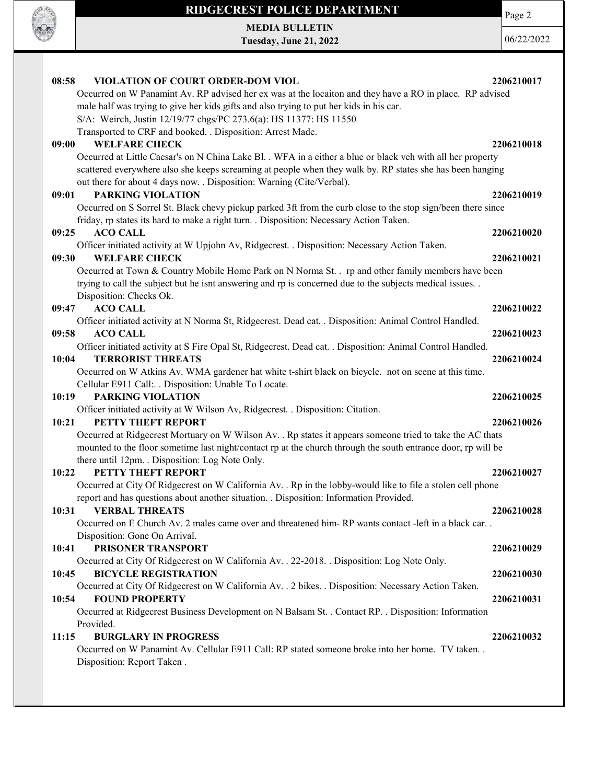

Page 2

MEDIA BULLETIN Tuesday, June 21, 2022

06/22/2022

| VIOLATION OF COURT ORDER-DOM VIOL<br>08:58                                                                                                                                                              | 2206210017 |
|---------------------------------------------------------------------------------------------------------------------------------------------------------------------------------------------------------|------------|
| Occurred on W Panamint Av. RP advised her ex was at the locaiton and they have a RO in place. RP advised                                                                                                |            |
| male half was trying to give her kids gifts and also trying to put her kids in his car.                                                                                                                 |            |
| S/A: Weirch, Justin 12/19/77 chgs/PC 273.6(a): HS 11377: HS 11550                                                                                                                                       |            |
| Transported to CRF and booked. . Disposition: Arrest Made.                                                                                                                                              |            |
| <b>WELFARE CHECK</b><br>09:00                                                                                                                                                                           | 2206210018 |
| Occurred at Little Caesar's on N China Lake Bl. . WFA in a either a blue or black veh with all her property                                                                                             |            |
| scattered everywhere also she keeps screaming at people when they walk by. RP states she has been hanging                                                                                               |            |
| out there for about 4 days now. . Disposition: Warning (Cite/Verbal).                                                                                                                                   |            |
| <b>PARKING VIOLATION</b><br>09:01                                                                                                                                                                       | 2206210019 |
| Occurred on S Sorrel St. Black chevy pickup parked 3ft from the curb close to the stop sign/been there since<br>friday, rp states its hard to make a right turn. . Disposition: Necessary Action Taken. |            |
| 09:25<br><b>ACO CALL</b>                                                                                                                                                                                | 2206210020 |
| Officer initiated activity at W Upjohn Av, Ridgecrest. . Disposition: Necessary Action Taken.                                                                                                           |            |
| <b>WELFARE CHECK</b><br>09:30                                                                                                                                                                           | 2206210021 |
| Occurred at Town & Country Mobile Home Park on N Norma St. . rp and other family members have been                                                                                                      |            |
| trying to call the subject but he isnt answering and rp is concerned due to the subjects medical issues                                                                                                 |            |
| Disposition: Checks Ok.                                                                                                                                                                                 |            |
| 09:47<br><b>ACO CALL</b>                                                                                                                                                                                | 2206210022 |
| Officer initiated activity at N Norma St, Ridgecrest. Dead cat. . Disposition: Animal Control Handled.                                                                                                  |            |
| <b>ACO CALL</b><br>09:58                                                                                                                                                                                | 2206210023 |
| Officer initiated activity at S Fire Opal St, Ridgecrest. Dead cat. . Disposition: Animal Control Handled.                                                                                              |            |
| <b>TERRORIST THREATS</b><br>10:04                                                                                                                                                                       | 2206210024 |
| Occurred on W Atkins Av. WMA gardener hat white t-shirt black on bicycle. not on scene at this time.                                                                                                    |            |
| Cellular E911 Call: . Disposition: Unable To Locate.                                                                                                                                                    |            |
| <b>PARKING VIOLATION</b><br>10:19                                                                                                                                                                       | 2206210025 |
| Officer initiated activity at W Wilson Av, Ridgecrest. . Disposition: Citation.                                                                                                                         |            |
| PETTY THEFT REPORT<br>10:21                                                                                                                                                                             | 2206210026 |
| Occurred at Ridgecrest Mortuary on W Wilson Av. . Rp states it appears someone tried to take the AC thats                                                                                               |            |
| mounted to the floor sometime last night/contact rp at the church through the south entrance door, rp will be                                                                                           |            |
| there until 12pm. . Disposition: Log Note Only.                                                                                                                                                         |            |
| PETTY THEFT REPORT<br>10:22                                                                                                                                                                             | 2206210027 |
| Occurred at City Of Ridgecrest on W California Av. . Rp in the lobby-would like to file a stolen cell phone                                                                                             |            |
| report and has questions about another situation. . Disposition: Information Provided.                                                                                                                  |            |
| 10:31<br><b>VERBAL THREATS</b>                                                                                                                                                                          | 2206210028 |
| Occurred on E Church Av. 2 males came over and threatened him-RP wants contact -left in a black car                                                                                                     |            |
| Disposition: Gone On Arrival.                                                                                                                                                                           |            |
| PRISONER TRANSPORT<br>10:41                                                                                                                                                                             | 2206210029 |
| Occurred at City Of Ridgecrest on W California Av. . 22-2018. . Disposition: Log Note Only.                                                                                                             |            |
| <b>BICYCLE REGISTRATION</b><br>10:45                                                                                                                                                                    | 2206210030 |
| Occurred at City Of Ridgecrest on W California Av. . 2 bikes. . Disposition: Necessary Action Taken.                                                                                                    |            |
| 10:54<br><b>FOUND PROPERTY</b>                                                                                                                                                                          | 2206210031 |
| Occurred at Ridgecrest Business Development on N Balsam St. . Contact RP. . Disposition: Information                                                                                                    |            |
| Provided.                                                                                                                                                                                               |            |
| <b>BURGLARY IN PROGRESS</b><br>11:15                                                                                                                                                                    | 2206210032 |
| Occurred on W Panamint Av. Cellular E911 Call: RP stated someone broke into her home. TV taken                                                                                                          |            |
| Disposition: Report Taken.                                                                                                                                                                              |            |
|                                                                                                                                                                                                         |            |
|                                                                                                                                                                                                         |            |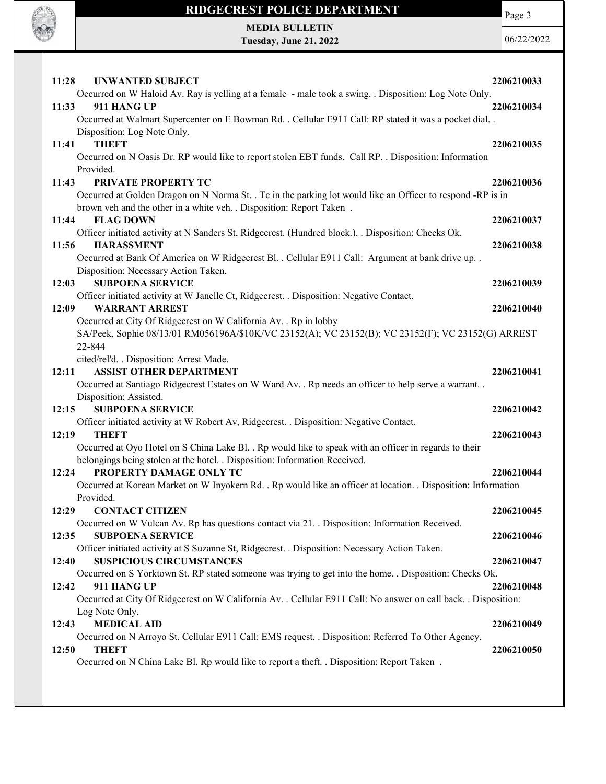

Occurred on N China Lake Bl. Rp would like to report a theft. . Disposition: Report Taken .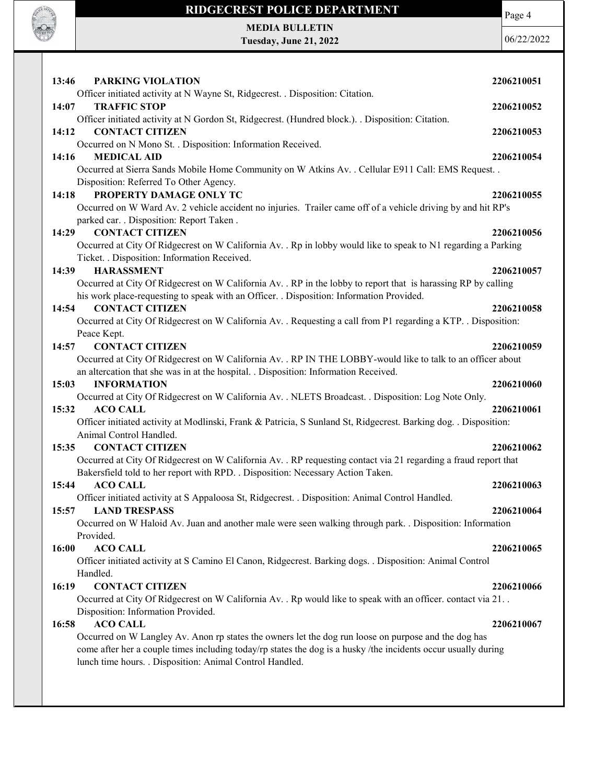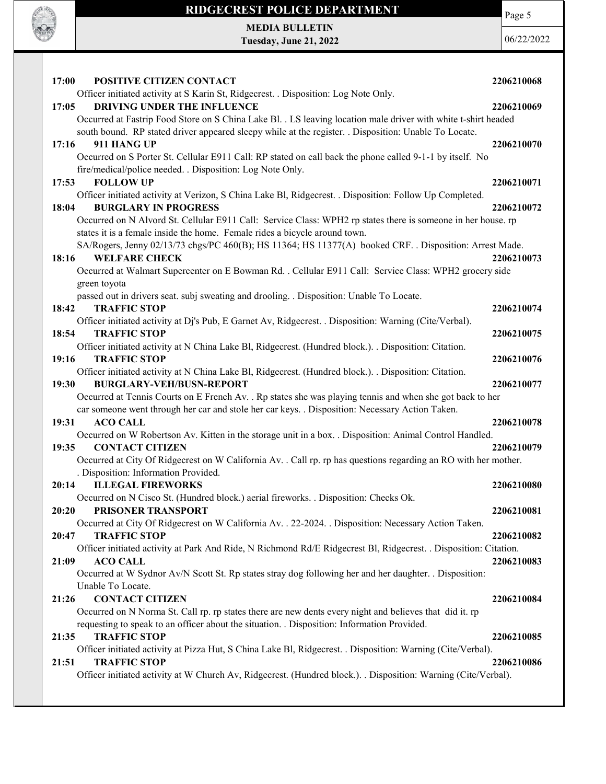

MEDIA BULLETIN Tuesday, June 21, 2022 Page 5 06/22/2022

| 17:00<br>POSITIVE CITIZEN CONTACT                                                                                | 2206210068 |
|------------------------------------------------------------------------------------------------------------------|------------|
| Officer initiated activity at S Karin St, Ridgecrest. . Disposition: Log Note Only.                              |            |
| 17:05<br>DRIVING UNDER THE INFLUENCE                                                                             | 2206210069 |
| Occurred at Fastrip Food Store on S China Lake Bl. . LS leaving location male driver with white t-shirt headed   |            |
| south bound. RP stated driver appeared sleepy while at the register. . Disposition: Unable To Locate.            |            |
| 911 HANG UP<br>17:16                                                                                             | 2206210070 |
| Occurred on S Porter St. Cellular E911 Call: RP stated on call back the phone called 9-1-1 by itself. No         |            |
| fire/medical/police needed. . Disposition: Log Note Only.                                                        |            |
| <b>FOLLOW UP</b><br>17:53                                                                                        | 2206210071 |
| Officer initiated activity at Verizon, S China Lake Bl, Ridgecrest. . Disposition: Follow Up Completed.          |            |
| <b>BURGLARY IN PROGRESS</b><br>18:04                                                                             | 2206210072 |
| Occurred on N Alvord St. Cellular E911 Call: Service Class: WPH2 rp states there is someone in her house. rp     |            |
| states it is a female inside the home. Female rides a bicycle around town.                                       |            |
| SA/Rogers, Jenny 02/13/73 chgs/PC 460(B); HS 11364; HS 11377(A) booked CRF. . Disposition: Arrest Made.          |            |
| <b>WELFARE CHECK</b><br>18:16                                                                                    | 2206210073 |
| Occurred at Walmart Supercenter on E Bowman Rd. . Cellular E911 Call: Service Class: WPH2 grocery side           |            |
| green toyota                                                                                                     |            |
| passed out in drivers seat. subj sweating and drooling. . Disposition: Unable To Locate.                         |            |
| 18:42<br><b>TRAFFIC STOP</b>                                                                                     | 2206210074 |
| Officer initiated activity at Dj's Pub, E Garnet Av, Ridgecrest. . Disposition: Warning (Cite/Verbal).           |            |
| <b>TRAFFIC STOP</b><br>18:54                                                                                     | 2206210075 |
| Officer initiated activity at N China Lake Bl, Ridgecrest. (Hundred block.). Disposition: Citation.              |            |
| <b>TRAFFIC STOP</b><br>19:16                                                                                     | 2206210076 |
| Officer initiated activity at N China Lake Bl, Ridgecrest. (Hundred block.). . Disposition: Citation.            |            |
| <b>BURGLARY-VEH/BUSN-REPORT</b><br>19:30                                                                         | 2206210077 |
| Occurred at Tennis Courts on E French Av. . Rp states she was playing tennis and when she got back to her        |            |
| car someone went through her car and stole her car keys. . Disposition: Necessary Action Taken.                  |            |
| <b>ACO CALL</b><br>19:31                                                                                         | 2206210078 |
| Occurred on W Robertson Av. Kitten in the storage unit in a box. . Disposition: Animal Control Handled.          |            |
| <b>CONTACT CITIZEN</b><br>19:35                                                                                  | 2206210079 |
| Occurred at City Of Ridgecrest on W California Av. . Call rp. rp has questions regarding an RO with her mother.  |            |
| . Disposition: Information Provided.                                                                             |            |
| <b>ILLEGAL FIREWORKS</b><br>20:14                                                                                | 2206210080 |
| Occurred on N Cisco St. (Hundred block.) aerial fireworks. . Disposition: Checks Ok.                             |            |
| 20:20<br>PRISONER TRANSPORT                                                                                      | 2206210081 |
| Occurred at City Of Ridgecrest on W California Av. . 22-2024. . Disposition: Necessary Action Taken.             |            |
| <b>TRAFFIC STOP</b><br>20:47                                                                                     | 2206210082 |
| Officer initiated activity at Park And Ride, N Richmond Rd/E Ridgecrest Bl, Ridgecrest. . Disposition: Citation. |            |
| <b>ACO CALL</b><br>21:09                                                                                         | 2206210083 |
| Occurred at W Sydnor Av/N Scott St. Rp states stray dog following her and her daughter. . Disposition:           |            |
| Unable To Locate.                                                                                                |            |
| <b>CONTACT CITIZEN</b><br>21:26                                                                                  | 2206210084 |
| Occurred on N Norma St. Call rp. rp states there are new dents every night and believes that did it. rp          |            |
| requesting to speak to an officer about the situation. . Disposition: Information Provided.                      |            |
| <b>TRAFFIC STOP</b><br>21:35                                                                                     | 2206210085 |
| Officer initiated activity at Pizza Hut, S China Lake Bl, Ridgecrest. . Disposition: Warning (Cite/Verbal).      |            |
| <b>TRAFFIC STOP</b><br>21:51                                                                                     | 2206210086 |
| Officer initiated activity at W Church Av, Ridgecrest. (Hundred block.). . Disposition: Warning (Cite/Verbal).   |            |
|                                                                                                                  |            |
|                                                                                                                  |            |